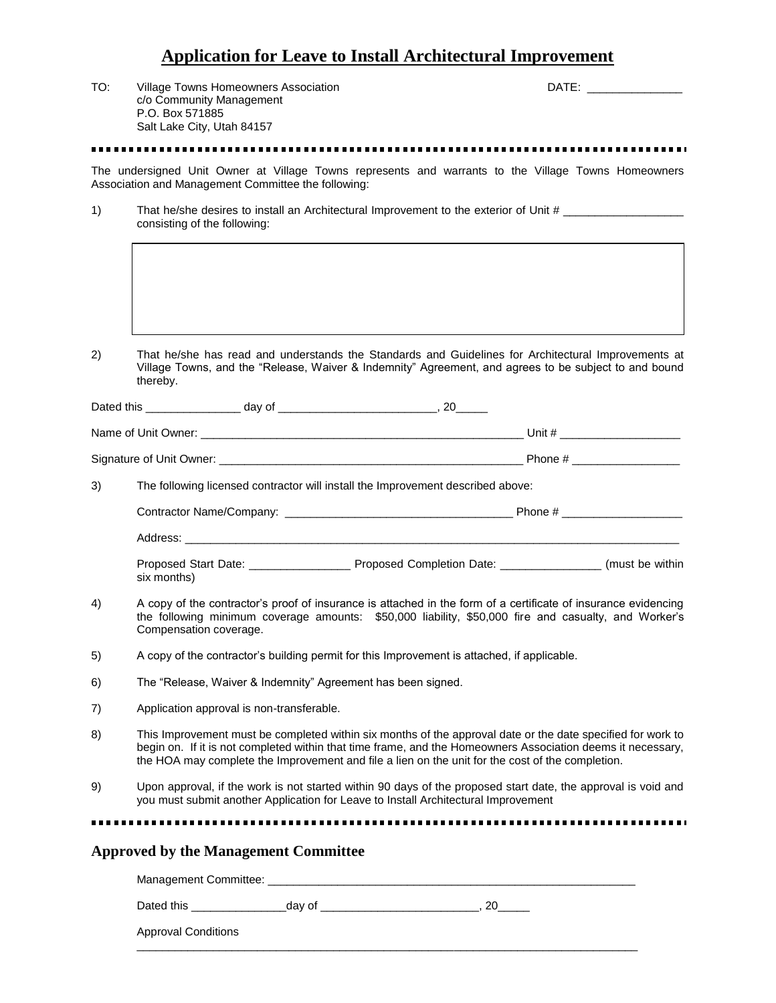## **Application for Leave to Install Architectural Improvement**

| TO: | c/o Community Management<br>P.O. Box 571885<br>Salt Lake City, Utah 84157                                                                                                                                                                                                                                                      | Village Towns Homeowners Association                                                                                                                                                                                           |                                                                                                                                                                                                                        | DATE: the contract of the contract of the contract of the contract of the contract of the contract of the contract of the contract of the contract of the contract of the contract of the contract of the contract of the cont |  |  |
|-----|--------------------------------------------------------------------------------------------------------------------------------------------------------------------------------------------------------------------------------------------------------------------------------------------------------------------------------|--------------------------------------------------------------------------------------------------------------------------------------------------------------------------------------------------------------------------------|------------------------------------------------------------------------------------------------------------------------------------------------------------------------------------------------------------------------|--------------------------------------------------------------------------------------------------------------------------------------------------------------------------------------------------------------------------------|--|--|
|     |                                                                                                                                                                                                                                                                                                                                |                                                                                                                                                                                                                                |                                                                                                                                                                                                                        |                                                                                                                                                                                                                                |  |  |
|     |                                                                                                                                                                                                                                                                                                                                | Association and Management Committee the following:                                                                                                                                                                            | The undersigned Unit Owner at Village Towns represents and warrants to the Village Towns Homeowners                                                                                                                    |                                                                                                                                                                                                                                |  |  |
| 1)  | That he/she desires to install an Architectural Improvement to the exterior of Unit #<br>consisting of the following:                                                                                                                                                                                                          |                                                                                                                                                                                                                                |                                                                                                                                                                                                                        |                                                                                                                                                                                                                                |  |  |
|     |                                                                                                                                                                                                                                                                                                                                |                                                                                                                                                                                                                                |                                                                                                                                                                                                                        |                                                                                                                                                                                                                                |  |  |
| 2)  | thereby.                                                                                                                                                                                                                                                                                                                       |                                                                                                                                                                                                                                | That he/she has read and understands the Standards and Guidelines for Architectural Improvements at<br>Village Towns, and the "Release, Waiver & Indemnity" Agreement, and agrees to be subject to and bound           |                                                                                                                                                                                                                                |  |  |
|     |                                                                                                                                                                                                                                                                                                                                |                                                                                                                                                                                                                                |                                                                                                                                                                                                                        |                                                                                                                                                                                                                                |  |  |
|     |                                                                                                                                                                                                                                                                                                                                |                                                                                                                                                                                                                                |                                                                                                                                                                                                                        |                                                                                                                                                                                                                                |  |  |
|     |                                                                                                                                                                                                                                                                                                                                |                                                                                                                                                                                                                                |                                                                                                                                                                                                                        |                                                                                                                                                                                                                                |  |  |
| 3)  |                                                                                                                                                                                                                                                                                                                                | The following licensed contractor will install the Improvement described above:                                                                                                                                                |                                                                                                                                                                                                                        |                                                                                                                                                                                                                                |  |  |
|     |                                                                                                                                                                                                                                                                                                                                |                                                                                                                                                                                                                                |                                                                                                                                                                                                                        |                                                                                                                                                                                                                                |  |  |
|     |                                                                                                                                                                                                                                                                                                                                | Address: the contract of the contract of the contract of the contract of the contract of the contract of the contract of the contract of the contract of the contract of the contract of the contract of the contract of the c |                                                                                                                                                                                                                        |                                                                                                                                                                                                                                |  |  |
|     | six months)                                                                                                                                                                                                                                                                                                                    |                                                                                                                                                                                                                                |                                                                                                                                                                                                                        |                                                                                                                                                                                                                                |  |  |
| 4)  | Compensation coverage.                                                                                                                                                                                                                                                                                                         |                                                                                                                                                                                                                                | A copy of the contractor's proof of insurance is attached in the form of a certificate of insurance evidencing<br>the following minimum coverage amounts: \$50,000 liability, \$50,000 fire and casualty, and Worker's |                                                                                                                                                                                                                                |  |  |
| 5)  |                                                                                                                                                                                                                                                                                                                                | A copy of the contractor's building permit for this Improvement is attached, if applicable.                                                                                                                                    |                                                                                                                                                                                                                        |                                                                                                                                                                                                                                |  |  |
| 6)  |                                                                                                                                                                                                                                                                                                                                | The "Release, Waiver & Indemnity" Agreement has been signed.                                                                                                                                                                   |                                                                                                                                                                                                                        |                                                                                                                                                                                                                                |  |  |
| 7)  |                                                                                                                                                                                                                                                                                                                                | Application approval is non-transferable.                                                                                                                                                                                      |                                                                                                                                                                                                                        |                                                                                                                                                                                                                                |  |  |
| 8)  | This Improvement must be completed within six months of the approval date or the date specified for work to<br>begin on. If it is not completed within that time frame, and the Homeowners Association deems it necessary,<br>the HOA may complete the Improvement and file a lien on the unit for the cost of the completion. |                                                                                                                                                                                                                                |                                                                                                                                                                                                                        |                                                                                                                                                                                                                                |  |  |
| 9)  |                                                                                                                                                                                                                                                                                                                                | you must submit another Application for Leave to Install Architectural Improvement                                                                                                                                             | Upon approval, if the work is not started within 90 days of the proposed start date, the approval is void and                                                                                                          |                                                                                                                                                                                                                                |  |  |
|     |                                                                                                                                                                                                                                                                                                                                |                                                                                                                                                                                                                                |                                                                                                                                                                                                                        |                                                                                                                                                                                                                                |  |  |
|     |                                                                                                                                                                                                                                                                                                                                | <b>Approved by the Management Committee</b>                                                                                                                                                                                    |                                                                                                                                                                                                                        |                                                                                                                                                                                                                                |  |  |
|     |                                                                                                                                                                                                                                                                                                                                |                                                                                                                                                                                                                                |                                                                                                                                                                                                                        |                                                                                                                                                                                                                                |  |  |
|     |                                                                                                                                                                                                                                                                                                                                |                                                                                                                                                                                                                                |                                                                                                                                                                                                                        |                                                                                                                                                                                                                                |  |  |

 $\overline{\phantom{a}}$  ,  $\overline{\phantom{a}}$  ,  $\overline{\phantom{a}}$  ,  $\overline{\phantom{a}}$  ,  $\overline{\phantom{a}}$  ,  $\overline{\phantom{a}}$  ,  $\overline{\phantom{a}}$  ,  $\overline{\phantom{a}}$  ,  $\overline{\phantom{a}}$  ,  $\overline{\phantom{a}}$  ,  $\overline{\phantom{a}}$  ,  $\overline{\phantom{a}}$  ,  $\overline{\phantom{a}}$  ,  $\overline{\phantom{a}}$  ,  $\overline{\phantom{a}}$  ,  $\overline{\phantom{a}}$ 

|  | <b>Approval Conditions</b> |
|--|----------------------------|
|--|----------------------------|